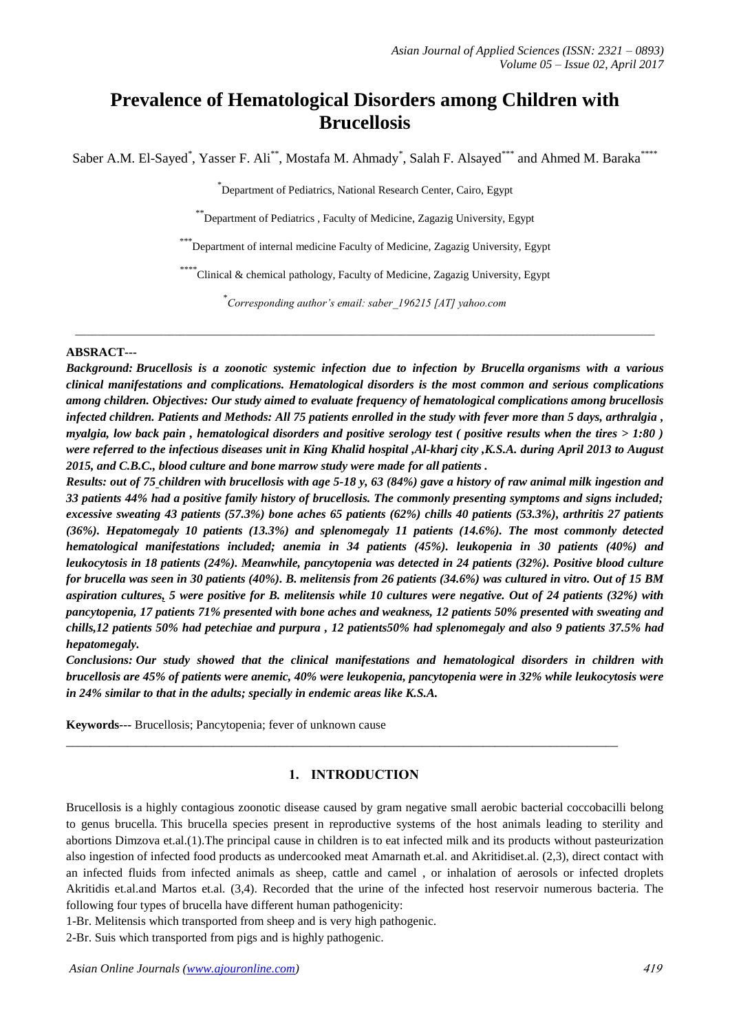# **Prevalence of Hematological Disorders among Children with Brucellosis**

Saber A.M. El-Sayed<sup>\*</sup>, Yasser F. Ali<sup>\*\*</sup>, Mostafa M. Ahmady<sup>\*</sup>, Salah F. Alsayed<sup>\*\*\*</sup> and Ahmed M. Baraka<sup>\*\*\*\*</sup>

\* Department of Pediatrics, National Research Center, Cairo, Egypt

\*\*Department of Pediatrics , Faculty of Medicine, Zagazig University, Egypt

\*Department of internal medicine Faculty of Medicine, Zagazig University, Egypt

\*\*\*\* Clinical & chemical pathology, Faculty of Medicine, Zagazig University, Egypt

\* *Corresponding author's email: saber\_196215 [AT] yahoo.com*

*\_\_\_\_\_\_\_\_\_\_\_\_\_\_\_\_\_\_\_\_\_\_\_\_\_\_\_\_\_\_\_\_\_\_\_\_\_\_\_\_\_\_\_\_\_\_\_\_\_\_\_\_\_\_\_\_\_\_\_\_\_\_\_\_\_\_\_\_\_\_\_\_\_\_\_\_\_\_\_\_\_\_\_\_\_\_\_\_\_\_\_\_\_\_\_\_\_\_\_\_\_\_\_\_\_*

#### **ABSRACT---**

*Background: Brucellosis is a zoonotic systemic infection due to infection by Brucella organisms with a various clinical manifestations and complications. Hematological disorders is the most common and serious complications among children. Objectives: Our study aimed to evaluate frequency of hematological complications among brucellosis infected children. Patients and Methods: All 75 patients enrolled in the study with fever more than 5 days, arthralgia , myalgia, low back pain , hematological disorders and positive serology test ( positive results when the tires > 1:80 ) were referred to the infectious diseases unit in King Khalid hospital ,Al-kharj city ,K.S.A. during April 2013 to August 2015, and C.B.C., blood culture and bone marrow study were made for all patients .*

*Results: out of 75 children with brucellosis with age 5-18 y, 63 (84%) gave a history of raw animal milk ingestion and 33 patients 44% had a positive family history of brucellosis. The commonly presenting symptoms and signs included; excessive sweating 43 patients (57.3%) bone aches 65 patients (62%) chills 40 patients (53.3%), arthritis 27 patients (36%). Hepatomegaly 10 patients (13.3%) and splenomegaly 11 patients (14.6%). The most commonly detected hematological manifestations included; anemia in 34 patients (45%). leukopenia in 30 patients (40%) and leukocytosis in 18 patients (24%). Meanwhile, pancytopenia was detected in 24 patients (32%). Positive blood culture for brucella was seen in 30 patients (40%). B. melitensis from 26 patients (34.6%) was cultured in vitro. Out of 15 BM aspiration cultures, 5 were positive for B. melitensis while 10 cultures were negative. Out of 24 patients (32%) with pancytopenia, 17 patients 71% presented with bone aches and weakness, 12 patients 50% presented with sweating and chills,12 patients 50% had petechiae and purpura , 12 patients50% had splenomegaly and also 9 patients 37.5% had hepatomegaly.*

*Conclusions: Our study showed that the clinical manifestations and hematological disorders in children with brucellosis are 45% of patients were anemic, 40% were leukopenia, pancytopenia were in 32% while leukocytosis were in 24% similar to that in the adults; specially in endemic areas like K.S.A.*

**Keywords---** Brucellosis; Pancytopenia; fever of unknown cause

## **1. INTRODUCTION**

\_\_\_\_\_\_\_\_\_\_\_\_\_\_\_\_\_\_\_\_\_\_\_\_\_\_\_\_\_\_\_\_\_\_\_\_\_\_\_\_\_\_\_\_\_\_\_\_\_\_\_\_\_\_\_\_\_\_\_\_\_\_\_\_\_\_\_\_\_\_\_\_\_\_\_\_\_\_\_\_\_\_\_\_\_\_\_\_\_\_

Brucellosis is a highly contagious zoonotic disease caused by gram negative small aerobic bacterial coccobacilli belong to genus brucella*.* This brucella species present in reproductive systems of the host animals leading to sterility and abortions Dimzova et.al.(1).The principal cause in children is to eat infected milk and its products without pasteurization also ingestion of infected food products as undercooked meat Amarnath et.al. and Akritidiset.al. (2,3), direct contact with an infected fluids from infected animals as sheep, cattle and camel , or inhalation of aerosols or infected droplets Akritidis et.al.and Martos et.al. (3,4). Recorded that the urine of the infected host reservoir numerous bacteria. The following four types of brucella have different human pathogenicity:

1-Br. Melitensis which transported from sheep and is very high pathogenic.

2-Br. Suis which transported from pigs and is highly pathogenic.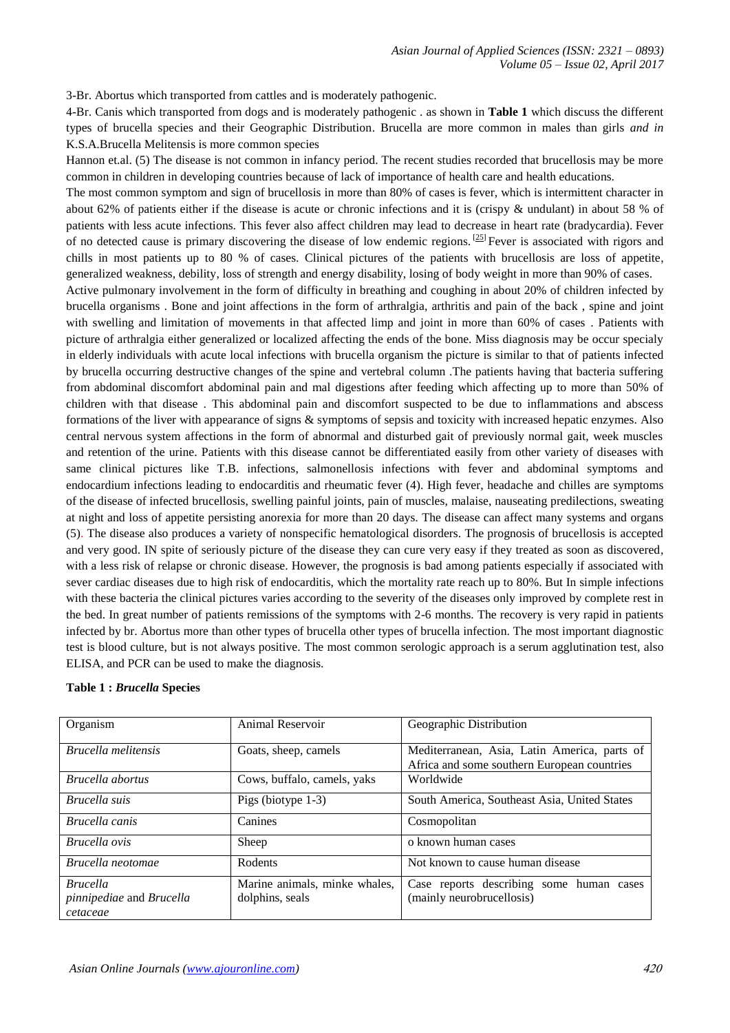3-Br. Abortus which transported from cattles and is moderately pathogenic.

4-Br. Canis which transported from dogs and is moderately pathogenic . as shown in **Table 1** which discuss the different types of brucella species and their Geographic Distribution. Brucella are more common in males than girls *and in*  K.S.A.Brucella Melitensis is more common species

Hannon et.al. (5) The disease is not common in infancy period. The recent studies recorded that brucellosis may be more common in children in developing countries because of lack of importance of health care and health educations.

The most common symptom and sign of brucellosis in more than 80% of cases is fever, which is intermittent character in about 62% of patients either if the disease is acute or chronic infections and it is (crispy & undulant) in about 58 % of patients with less acute infections. This fever also affect children may lead to decrease in heart rate (bradycardia). Fever of no detected cause is primary discovering the disease of low endemic regions. <sup>[\[25\]](javascript:void(0);)</sup> Fever is associated with rigors and chills in most patients up to 80 % of cases. Clinical pictures of the patients with brucellosis are loss of appetite, generalized weakness, debility, loss of strength and energy disability, losing of body weight in more than 90% of cases.

Active pulmonary involvement in the form of difficulty in breathing and coughing in about 20% of children infected by brucella organisms . Bone and joint affections in the form of arthralgia, arthritis and pain of the back , spine and joint with swelling and limitation of movements in that affected limp and joint in more than 60% of cases. Patients with picture of arthralgia either generalized or localized affecting the ends of the bone. Miss diagnosis may be occur specialy in elderly individuals with acute local infections with brucella organism the picture is similar to that of patients infected by brucella occurring destructive changes of the spine and vertebral column .The patients having that bacteria suffering from abdominal discomfort abdominal pain and mal digestions after feeding which affecting up to more than 50% of children with that disease . This abdominal pain and discomfort suspected to be due to inflammations and abscess formations of the liver with appearance of signs & symptoms of sepsis and toxicity with increased hepatic enzymes. Also central nervous system affections in the form of abnormal and disturbed gait of previously normal gait, week muscles and retention of the urine. Patients with this disease cannot be differentiated easily from other variety of diseases with same clinical pictures like T.B. infections, salmonellosis infections with fever and abdominal symptoms and endocardium infections leading to endocarditis and rheumatic fever (4). High fever, headache and chilles are symptoms of the disease of infected brucellosis, swelling painful joints, pain of muscles, malaise, nauseating predilections, sweating at night and loss of appetite persisting anorexia for more than 20 days. The disease can affect many systems and organs (5). The disease also produces a variety of nonspecific hematological disorders. The prognosis of brucellosis is accepted and very good. IN spite of seriously picture of the disease they can cure very easy if they treated as soon as discovered, with a less risk of relapse or chronic disease. However, the prognosis is bad among patients especially if associated with sever cardiac diseases due to high risk of endocarditis, which the mortality rate reach up to 80%. But In simple infections with these bacteria the clinical pictures varies according to the severity of the diseases only improved by complete rest in the bed. In great number of patients remissions of the symptoms with 2-6 months. The recovery is very rapid in patients infected by br. Abortus more than other types of brucella other types of brucella infection. The most important diagnostic test is blood culture, but is not always positive. The most common serologic approach is a serum agglutination test, also ELISA, and PCR can be used to make the diagnosis.

| Organism                                                | Animal Reservoir                                 | Geographic Distribution                                                                     |  |  |
|---------------------------------------------------------|--------------------------------------------------|---------------------------------------------------------------------------------------------|--|--|
| Brucella melitensis                                     | Goats, sheep, camels                             | Mediterranean, Asia, Latin America, parts of<br>Africa and some southern European countries |  |  |
| Brucella abortus                                        | Cows, buffalo, camels, yaks                      | Worldwide                                                                                   |  |  |
| Brucella suis                                           | Pigs (biotype $1-3$ )                            | South America, Southeast Asia, United States                                                |  |  |
| Brucella canis                                          | Canines                                          | Cosmopolitan                                                                                |  |  |
| Brucella ovis                                           | Sheep                                            | o known human cases                                                                         |  |  |
| Brucella neotomae                                       | Rodents                                          | Not known to cause human disease                                                            |  |  |
| <b>Brucella</b><br>pinnipediae and Brucella<br>cetaceae | Marine animals, minke whales,<br>dolphins, seals | Case reports describing some human cases<br>(mainly neurobrucellosis)                       |  |  |

#### **Table 1 :** *Brucella* **Species**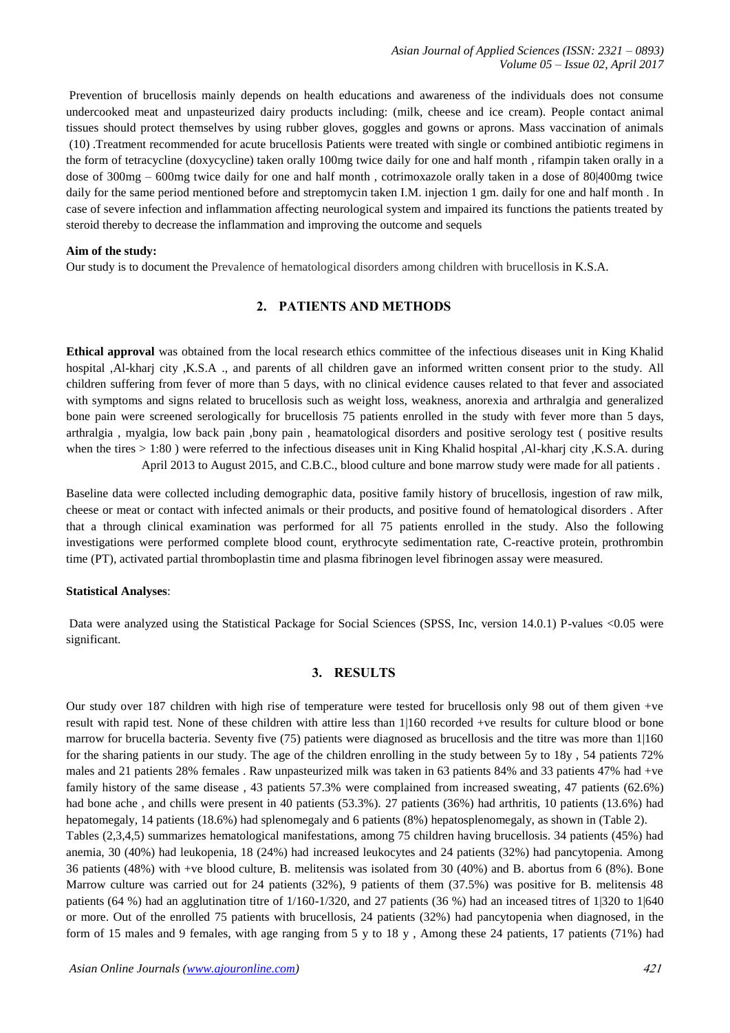Prevention of brucellosis mainly depends on health educations and awareness of the individuals does not consume undercooked meat and unpasteurized dairy products including: (milk, cheese and ice cream). People contact animal tissues should protect themselves by using rubber gloves, goggles and gowns or aprons. Mass vaccination of animals [\(10\)](https://www.ncbi.nlm.nih.gov/pmc/articles/PMC4197370/#bib10) .Treatment recommended for acute brucellosis Patients were treated with single or combined antibiotic regimens in the form of tetracycline (doxycycline) taken orally 100mg twice daily for one and half month , rifampin taken orally in a dose of 300mg – 600mg twice daily for one and half month , cotrimoxazole orally taken in a dose of 80|400mg twice daily for the same period mentioned before and streptomycin taken I.M. injection 1 gm. daily for one and half month . In case of severe infection and inflammation affecting neurological system and impaired its functions the patients treated by steroid thereby to decrease the inflammation and improving the outcome and sequels

#### **Aim of the study:**

Our study is to document the Prevalence of hematological disorders among children with brucellosis in K.S.A.

# **2. PATIENTS AND METHODS**

**Ethical approval** was obtained from the local research ethics committee of the infectious diseases unit in King Khalid hospital ,Al-kharj city ,K.S.A ., and parents of all children gave an informed written consent prior to the study. All children suffering from fever of more than 5 days, with no clinical evidence causes related to that fever and associated with symptoms and signs related to brucellosis such as weight loss, weakness, anorexia and arthralgia and generalized bone pain were screened serologically for brucellosis 75 patients enrolled in the study with fever more than 5 days, arthralgia , myalgia, low back pain ,bony pain , heamatological disorders and positive serology test ( positive results when the tires > 1:80) were referred to the infectious diseases unit in King Khalid hospital ,Al-kharj city ,K.S.A. during April 2013 to August 2015, and C.B.C., blood culture and bone marrow study were made for all patients .

Baseline data were collected including demographic data, positive family history of brucellosis, ingestion of raw milk, cheese or meat or contact with infected animals or their products, and positive found of hematological disorders . After that a through clinical examination was performed for all 75 patients enrolled in the study. Also the following investigations were performed complete blood count, erythrocyte sedimentation rate, C-reactive protein, prothrombin time (PT), activated partial thromboplastin time and plasma fibrinogen level fibrinogen assay were measured.

#### **Statistical Analyses**:

Data were analyzed using the Statistical Package for Social Sciences (SPSS, Inc, version 14.0.1) P-values <0.05 were significant.

## **3. RESULTS**

Our study over 187 children with high rise of temperature were tested for brucellosis only 98 out of them given +ve result with rapid test. None of these children with attire less than 1|160 recorded +ve results for culture blood or bone marrow for brucella bacteria. Seventy five (75) patients were diagnosed as brucellosis and the titre was more than 1|160 for the sharing patients in our study. The age of the children enrolling in the study between 5y to 18y , 54 patients 72% males and 21 patients 28% females . Raw unpasteurized milk was taken in 63 patients 84% and 33 patients 47% had +ve family history of the same disease , 43 patients 57.3% were complained from increased sweating, 47 patients (62.6%) had bone ache , and chills were present in 40 patients (53.3%). 27 patients (36%) had arthritis, 10 patients (13.6%) had hepatomegaly, 14 patients (18.6%) had splenomegaly and 6 patients (8%) hepatosplenomegaly, as shown in (Table 2). Tables (2,3,4,5) summarizes hematological manifestations, among 75 children having brucellosis. 34 patients (45%) had anemia, 30 (40%) had leukopenia, 18 (24%) had increased leukocytes and 24 patients (32%) had pancytopenia. Among 36 patients (48%) with +ve blood culture, B. melitensis was isolated from 30 (40%) and B. abortus from 6 (8%). Bone Marrow culture was carried out for 24 patients (32%), 9 patients of them (37.5%) was positive for B. melitensis 48 patients (64 %) had an agglutination titre of 1/160-1/320, and 27 patients (36 %) had an inceased titres of 1|320 to 1|640 or more. Out of the enrolled 75 patients with brucellosis, 24 patients (32%) had pancytopenia when diagnosed, in the form of 15 males and 9 females, with age ranging from 5 y to 18 y , Among these 24 patients, 17 patients (71%) had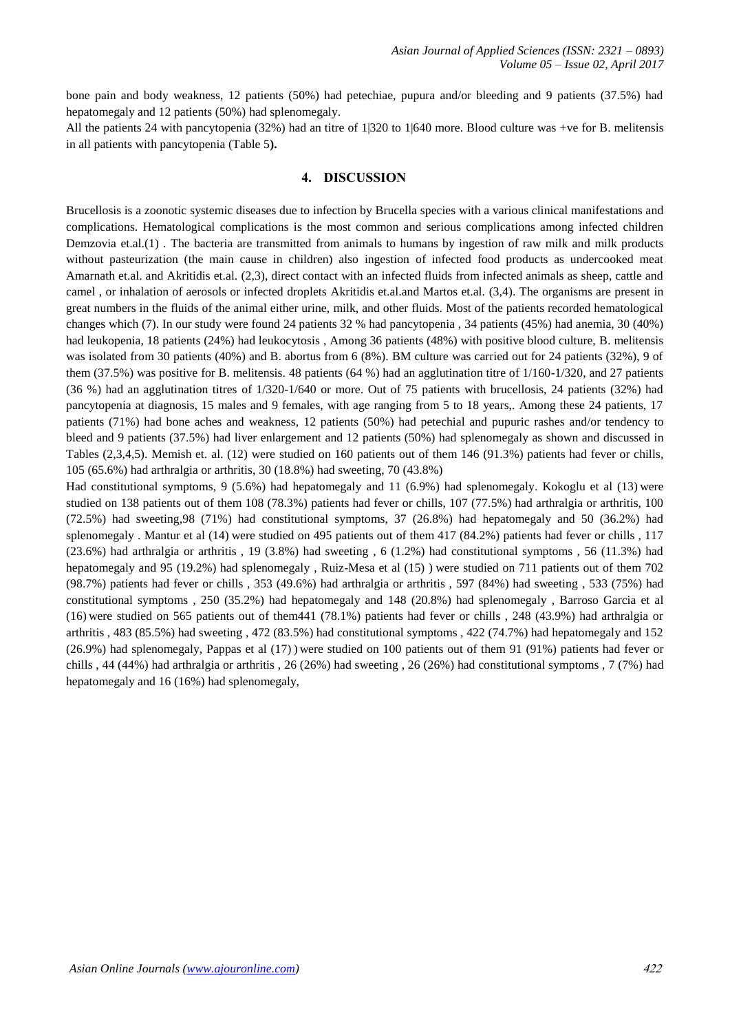bone pain and body weakness, 12 patients (50%) had petechiae, pupura and/or bleeding and 9 patients (37.5%) had hepatomegaly and 12 patients (50%) had splenomegaly.

All the patients 24 with pancytopenia (32%) had an titre of 1|320 to 1|640 more. Blood culture was +ve for B. melitensis in all patients with pancytopenia (Table 5**).**

## **4. DISCUSSION**

Brucellosis is a zoonotic systemic diseases due to infection by Brucella species with a various clinical manifestations and complications. Hematological complications is the most common and serious complications among infected children Demzovia et.al.(1) . The bacteria are transmitted from animals to humans by ingestion of raw milk and milk products without pasteurization (the main cause in children) also ingestion of infected food products as undercooked meat Amarnath et.al. and Akritidis et.al. (2,3), direct contact with an infected fluids from infected animals as sheep, cattle and camel , or inhalation of aerosols or infected droplets Akritidis et.al.and Martos et.al. (3,4). The organisms are present in great numbers in the fluids of the animal either urine, milk, and other fluids. Most of the patients recorded hematological changes which (7). In our study were found 24 patients 32 % had pancytopenia , 34 patients (45%) had anemia, 30 (40%) had leukopenia, 18 patients (24%) had leukocytosis , Among 36 patients (48%) with positive blood culture, B. melitensis was isolated from 30 patients (40%) and B. abortus from 6 (8%). BM culture was carried out for 24 patients (32%), 9 of them (37.5%) was positive for B. melitensis. 48 patients (64 %) had an agglutination titre of 1/160-1/320, and 27 patients (36 %) had an agglutination titres of 1/320-1/640 or more. Out of 75 patients with brucellosis, 24 patients (32%) had pancytopenia at diagnosis, 15 males and 9 females, with age ranging from 5 to 18 years,. Among these 24 patients, 17 patients (71%) had bone aches and weakness, 12 patients (50%) had petechial and pupuric rashes and/or tendency to bleed and 9 patients (37.5%) had liver enlargement and 12 patients (50%) had splenomegaly as shown and discussed in Tables (2,3,4,5). Memish et. al. (12) were studied on 160 patients out of them 146 (91.3%) patients had fever or chills, 105 (65.6%) had arthralgia or arthritis, 30 (18.8%) had sweeting, 70 (43.8%)

Had constitutional symptoms, 9 (5.6%) had hepatomegaly and 11 (6.9%) had splenomegaly. Kokoglu et al (13) were studied on 138 patients out of them 108 (78.3%) patients had fever or chills, 107 (77.5%) had arthralgia or arthritis, 100 (72.5%) had sweeting,98 (71%) had constitutional symptoms, 37 (26.8%) had hepatomegaly and 50 (36.2%) had splenomegaly . Mantur et al (14) were studied on 495 patients out of them 417 (84.2%) patients had fever or chills , 117  $(23.6\%)$  had arthralgia or arthritis , 19 (3.8%) had sweeting , 6 (1.2%) had constitutional symptoms , 56 (11.3%) had hepatomegaly and 95 (19.2%) had splenomegaly , Ruiz-Mesa et al (15) ) were studied on 711 patients out of them 702 (98.7%) patients had fever or chills , 353 (49.6%) had arthralgia or arthritis , 597 (84%) had sweeting , 533 (75%) had constitutional symptoms , 250 (35.2%) had hepatomegaly and 148 (20.8%) had splenomegaly , Barroso Garcia et al (16) were studied on 565 patients out of them441 (78.1%) patients had fever or chills , 248 (43.9%) had arthralgia or arthritis , 483 (85.5%) had sweeting , 472 (83.5%) had constitutional symptoms , 422 (74.7%) had hepatomegaly and 152 (26.9%) had splenomegaly, Pappas et al (17) ) were studied on 100 patients out of them 91 (91%) patients had fever or chills , 44 (44%) had arthralgia or arthritis , 26 (26%) had sweeting , 26 (26%) had constitutional symptoms , 7 (7%) had hepatomegaly and 16 (16%) had splenomegaly,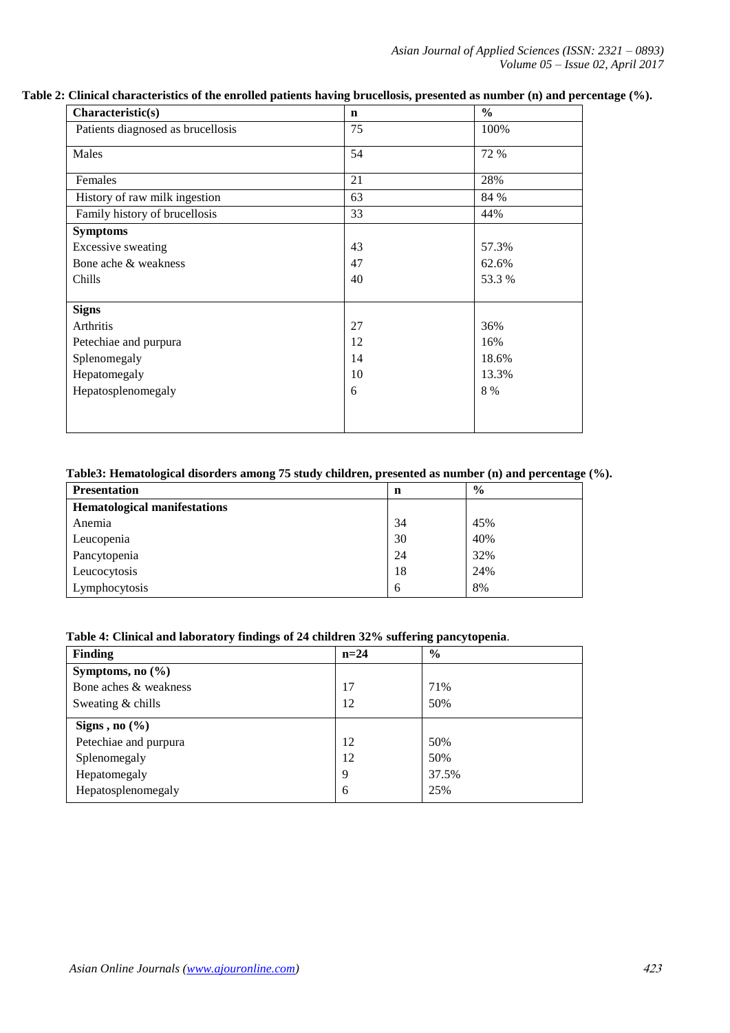*Asian Journal of Applied Sciences (ISSN: 2321 – 0893) Volume 05 – Issue 02, April 2017*

## **Table 2: Clinical characteristics of the enrolled patients having brucellosis, presented as number (n) and percentage (%).**

| Characteristic(s)                 | $\mathbf n$ | $\frac{0}{0}$ |
|-----------------------------------|-------------|---------------|
| Patients diagnosed as brucellosis | 75          | 100%          |
| Males                             | 54          | 72 %          |
| Females                           | 21          | 28%           |
| History of raw milk ingestion     | 63          | 84 %          |
| Family history of brucellosis     | 33          | 44%           |
| <b>Symptoms</b>                   |             |               |
| <b>Excessive sweating</b>         | 43          | 57.3%         |
| Bone ache & weakness              | 47          | 62.6%         |
| Chills                            | 40          | 53.3%         |
|                                   |             |               |
| <b>Signs</b>                      |             |               |
| Arthritis                         | 27          | 36%           |
| Petechiae and purpura             | 12          | 16%           |
| Splenomegaly                      | 14          | 18.6%         |
| Hepatomegaly                      | 10          | 13.3%         |
| Hepatosplenomegaly                | 6           | 8 %           |
|                                   |             |               |
|                                   |             |               |

# **Table3: Hematological disorders among 75 study children, presented as number (n) and percentage (%).**

| <b>Presentation</b>                 | n  | $\frac{6}{9}$ |
|-------------------------------------|----|---------------|
| <b>Hematological manifestations</b> |    |               |
| Anemia                              | 34 | 45%           |
| Leucopenia                          | 30 | 40%           |
| Pancytopenia                        | 24 | 32%           |
| Leucocytosis                        | 18 | 24%           |
| Lymphocytosis                       | 6  | 8%            |

# **Table 4: Clinical and laboratory findings of 24 children 32% suffering pancytopenia**.

| <b>Finding</b>        | $n=24$ | $\frac{6}{6}$ |
|-----------------------|--------|---------------|
| Symptoms, no $(\% )$  |        |               |
| Bone aches & weakness | 17     | 71%           |
| Sweating & chills     | 12     | 50%           |
| Signs, no $(\% )$     |        |               |
| Petechiae and purpura | 12     | 50%           |
| Splenomegaly          | 12     | 50%           |
| Hepatomegaly          | 9      | 37.5%         |
| Hepatosplenomegaly    | 6      | 25%           |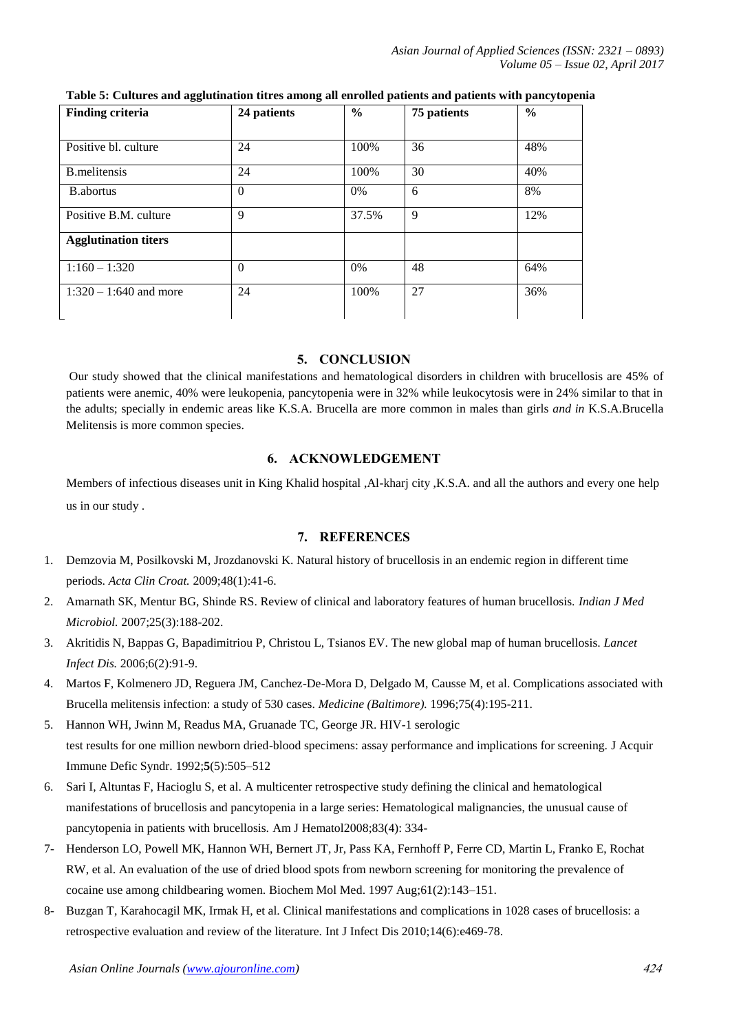*Asian Journal of Applied Sciences (ISSN: 2321 – 0893) Volume 05 – Issue 02, April 2017*

| <b>Finding criteria</b>     | 24 patients | $\frac{6}{6}$ | 75 patients | $\frac{6}{6}$ |
|-----------------------------|-------------|---------------|-------------|---------------|
|                             |             |               |             |               |
| Positive bl. culture        | 24          | 100%          | 36          | 48%           |
| <b>B.melitensis</b>         | 24          | 100%          | 30          | 40%           |
| <b>B.</b> abortus           | $\Omega$    | 0%            | 6           | 8%            |
| Positive B.M. culture       | 9           | 37.5%         | 9           | 12%           |
| <b>Agglutination titers</b> |             |               |             |               |
| $1:160 - 1:320$             | $\Omega$    | 0%            | 48          | 64%           |
| $1:320 - 1:640$ and more    | 24          | 100%          | 27          | 36%           |

**Table 5: Cultures and agglutination titres among all enrolled patients and patients with pancytopenia**

## **5. CONCLUSION**

Our study showed that the clinical manifestations and hematological disorders in children with brucellosis are 45% of patients were anemic, 40% were leukopenia, pancytopenia were in 32% while leukocytosis were in 24% similar to that in the adults; specially in endemic areas like K.S.A. Brucella are more common in males than girls *and in* K.S.A.Brucella Melitensis is more common species.

## **6. ACKNOWLEDGEMENT**

Members of infectious diseases unit in King Khalid hospital ,Al-kharj city ,K.S.A. and all the authors and every one help us in our study .

## **7. REFERENCES**

- 1. Demzovia M, Posilkovski M, Jrozdanovski K. Natural history of brucellosis in an endemic region in different time periods. *Acta Clin Croat.* 2009;48(1):41-6.
- 2. Amarnath SK, Mentur BG, Shinde RS. Review of clinical and laboratory features of human brucellosis. *Indian J Med Microbiol.* 2007;25(3):188-202.
- 3. Akritidis N, Bappas G, Bapadimitriou P, Christou L, Tsianos EV. The new global map of human brucellosis. *Lancet Infect Dis.* 2006;6(2):91-9.
- 4. Martos F, Kolmenero JD, Reguera JM, Canchez-De-Mora D, Delgado M, Causse M, et al. Complications associated with Brucella melitensis infection: a study of 530 cases. *Medicine (Baltimore).* 1996;75(4):195-211.
- 5. Hannon WH, Jwinn M, Readus MA, Gruanade TC, George JR. HIV-1 serologic test results for one million newborn dried-blood specimens: assay performance and implications for screening. J Acquir Immune Defic Syndr. 1992;**5**(5):505–512
- 6. Sari I, Altuntas F, Hacioglu S, et al. A multicenter retrospective study defining the clinical and hematological manifestations of brucellosis and pancytopenia in a large series: Hematological malignancies, the unusual cause of pancytopenia in patients with brucellosis. Am J Hematol2008;83(4): 334-
- 7- Henderson LO, Powell MK, Hannon WH, Bernert JT, Jr, Pass KA, Fernhoff P, Ferre CD, Martin L, Franko E, Rochat RW, et al. An evaluation of the use of dried blood spots from newborn screening for monitoring the prevalence of cocaine use among childbearing women. Biochem Mol Med. 1997 Aug;61(2):143–151.
- 8- Buzgan T, Karahocagil MK, Irmak H, et al. Clinical manifestations and complications in 1028 cases of brucellosis: a retrospective evaluation and review of the literature. Int J Infect Dis 2010;14(6):e469-78.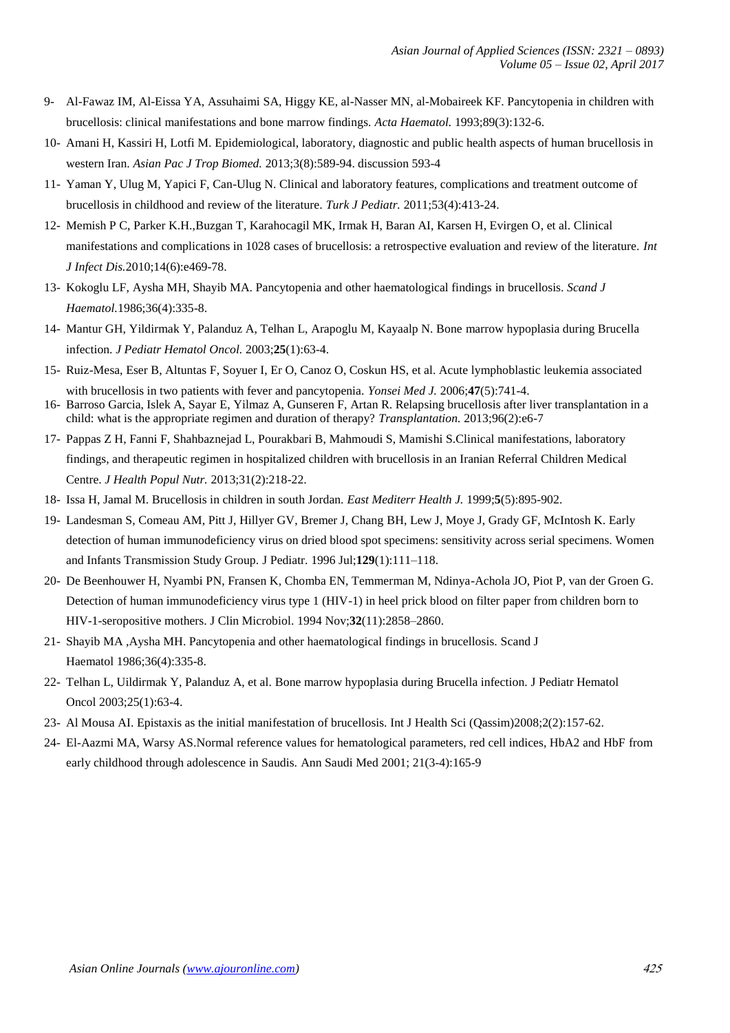- 9- Al-Fawaz IM, Al-Eissa YA, Assuhaimi SA, Higgy KE, al-Nasser MN, al-Mobaireek KF. Pancytopenia in children with brucellosis: clinical manifestations and bone marrow findings. *Acta Haematol.* 1993;89(3):132-6.
- 10- Amani H, Kassiri H, Lotfi M. Epidemiological, laboratory, diagnostic and public health aspects of human brucellosis in western Iran. *Asian Pac J Trop Biomed.* 2013;3(8):589-94. discussion 593-4
- 11- Yaman Y, Ulug M, Yapici F, Can-Ulug N. Clinical and laboratory features, complications and treatment outcome of brucellosis in childhood and review of the literature. *Turk J Pediatr.* 2011;53(4):413-24.
- 12- Memish P C, Parker K.H.,Buzgan T, Karahocagil MK, Irmak H, Baran AI, Karsen H, Evirgen O, et al. Clinical manifestations and complications in 1028 cases of brucellosis: a retrospective evaluation and review of the literature. *Int J Infect Dis.*2010;14(6):e469-78.
- 13- Kokoglu LF, Aysha MH, Shayib MA. Pancytopenia and other haematological findings in brucellosis. *Scand J Haematol.*1986;36(4):335-8.
- 14- Mantur GH, Yildirmak Y, Palanduz A, Telhan L, Arapoglu M, Kayaalp N. Bone marrow hypoplasia during Brucella infection. *J Pediatr Hematol Oncol.* 2003;**25**(1):63-4.
- 15- Ruiz-Mesa, Eser B, Altuntas F, Soyuer I, Er O, Canoz O, Coskun HS, et al. Acute lymphoblastic leukemia associated with brucellosis in two patients with fever and pancytopenia. *Yonsei Med J.* 2006;**47**(5):741-4.
- 16- Barroso Garcia, Islek A, Sayar E, Yilmaz A, Gunseren F, Artan R. Relapsing brucellosis after liver transplantation in a child: what is the appropriate regimen and duration of therapy? *Transplantation.* 2013;96(2):e6-7
- 17- Pappas Z H, Fanni F, Shahbaznejad L, Pourakbari B, Mahmoudi S, Mamishi S.Clinical manifestations, laboratory findings, and therapeutic regimen in hospitalized children with brucellosis in an Iranian Referral Children Medical Centre. *J Health Popul Nutr.* 2013;31(2):218-22.
- 18- Issa H, Jamal M. Brucellosis in children in south Jordan. *East Mediterr Health J.* 1999;**5**(5):895-902.
- 19- Landesman S, Comeau AM, Pitt J, Hillyer GV, Bremer J, Chang BH, Lew J, Moye J, Grady GF, McIntosh K. Early detection of human immunodeficiency virus on dried blood spot specimens: sensitivity across serial specimens. Women and Infants Transmission Study Group. J Pediatr. 1996 Jul;**129**(1):111–118.
- 20- De Beenhouwer H, Nyambi PN, Fransen K, Chomba EN, Temmerman M, Ndinya-Achola JO, Piot P, van der Groen G. Detection of human immunodeficiency virus type 1 (HIV-1) in heel prick blood on filter paper from children born to HIV-1-seropositive mothers. J Clin Microbiol. 1994 Nov;**32**(11):2858–2860.
- 21- Shayib MA ,Aysha MH. Pancytopenia and other haematological findings in brucellosis. Scand J Haematol 1986;36(4):335-8.
- 22- Telhan L, Uildirmak Y, Palanduz A, et al. Bone marrow hypoplasia during Brucella infection. J Pediatr Hematol Oncol 2003;25(1):63-4.
- 23- Al Mousa AI. Epistaxis as the initial manifestation of brucellosis. Int J Health Sci (Qassim)2008;2(2):157-62.
- 24- El-Aazmi MA, Warsy AS.Normal reference values for hematological parameters, red cell indices, HbA2 and HbF from early childhood through adolescence in Saudis. Ann Saudi Med 2001; 21(3-4):165-9